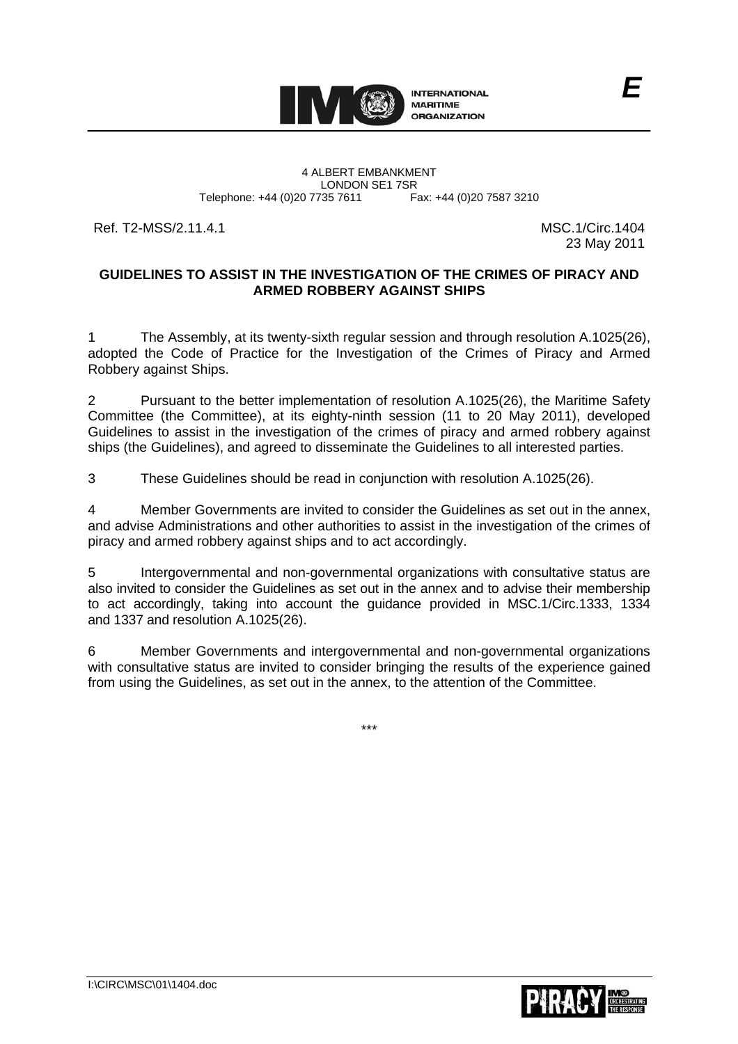

LONDON SE1 7SR<br>735 7611 Fax: +44 (0)20 7587 3210

Ref. T2-MSS/2.11.4.1 MSC.1/Circ.1404

23 May 2011

*E*

## **GUIDELINES TO ASSIST IN THE INVESTIGATION OF THE CRIMES OF PIRACY AND ARMED ROBBERY AGAINST SHIPS**

1 The Assembly, at its twenty-sixth regular session and through resolution A.1025(26), adopted the Code of Practice for the Investigation of the Crimes of Piracy and Armed Robbery against Ships.

2 Pursuant to the better implementation of resolution A.1025(26), the Maritime Safety Committee (the Committee), at its eighty-ninth session (11 to 20 May 2011), developed Guidelines to assist in the investigation of the crimes of piracy and armed robbery against ships (the Guidelines), and agreed to disseminate the Guidelines to all interested parties.

3 These Guidelines should be read in conjunction with resolution A.1025(26).

4 Member Governments are invited to consider the Guidelines as set out in the annex, and advise Administrations and other authorities to assist in the investigation of the crimes of piracy and armed robbery against ships and to act accordingly.

5 Intergovernmental and non-governmental organizations with consultative status are also invited to consider the Guidelines as set out in the annex and to advise their membership to act accordingly, taking into account the guidance provided in MSC.1/Circ.1333, 1334 and 1337 and resolution A.1025(26).

6 Member Governments and intergovernmental and non-governmental organizations with consultative status are invited to consider bringing the results of the experience gained from using the Guidelines, as set out in the annex, to the attention of the Committee.

\*\*\*

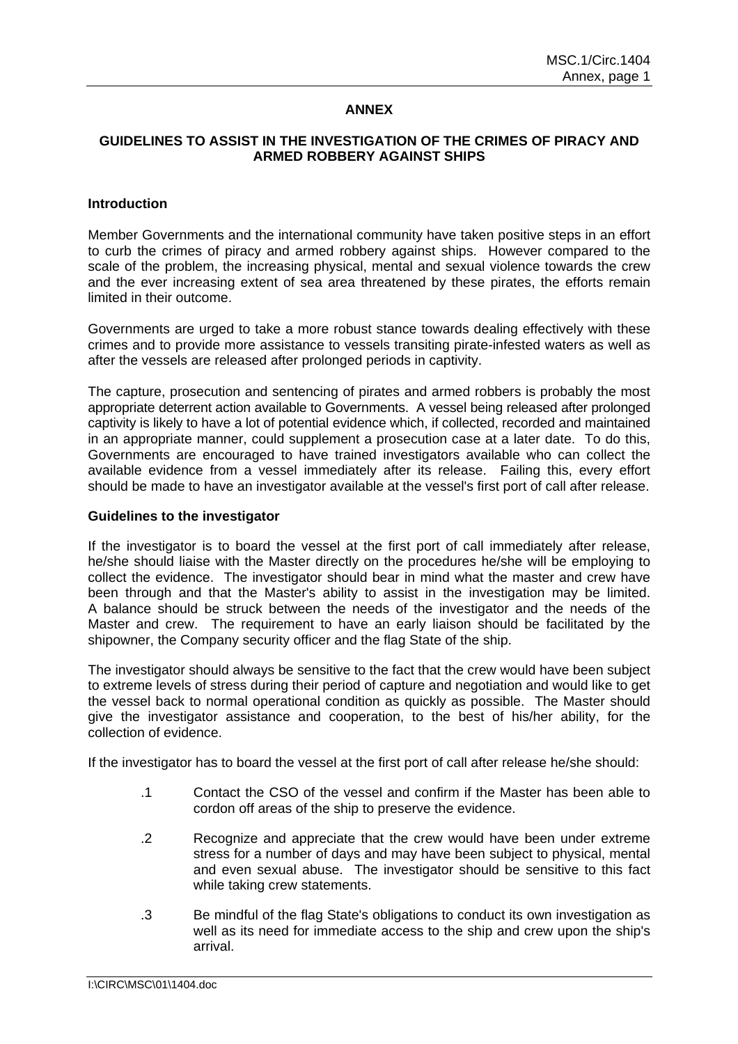## **ANNEX**

#### **GUIDELINES TO ASSIST IN THE INVESTIGATION OF THE CRIMES OF PIRACY AND ARMED ROBBERY AGAINST SHIPS**

#### **Introduction**

Member Governments and the international community have taken positive steps in an effort to curb the crimes of piracy and armed robbery against ships. However compared to the scale of the problem, the increasing physical, mental and sexual violence towards the crew and the ever increasing extent of sea area threatened by these pirates, the efforts remain limited in their outcome.

Governments are urged to take a more robust stance towards dealing effectively with these crimes and to provide more assistance to vessels transiting pirate-infested waters as well as after the vessels are released after prolonged periods in captivity.

The capture, prosecution and sentencing of pirates and armed robbers is probably the most appropriate deterrent action available to Governments. A vessel being released after prolonged captivity is likely to have a lot of potential evidence which, if collected, recorded and maintained in an appropriate manner, could supplement a prosecution case at a later date. To do this, Governments are encouraged to have trained investigators available who can collect the available evidence from a vessel immediately after its release. Failing this, every effort should be made to have an investigator available at the vessel's first port of call after release.

#### **Guidelines to the investigator**

If the investigator is to board the vessel at the first port of call immediately after release, he/she should liaise with the Master directly on the procedures he/she will be employing to collect the evidence. The investigator should bear in mind what the master and crew have been through and that the Master's ability to assist in the investigation may be limited. A balance should be struck between the needs of the investigator and the needs of the Master and crew. The requirement to have an early liaison should be facilitated by the shipowner, the Company security officer and the flag State of the ship.

The investigator should always be sensitive to the fact that the crew would have been subject to extreme levels of stress during their period of capture and negotiation and would like to get the vessel back to normal operational condition as quickly as possible. The Master should give the investigator assistance and cooperation, to the best of his/her ability, for the collection of evidence.

If the investigator has to board the vessel at the first port of call after release he/she should:

- .1 Contact the CSO of the vessel and confirm if the Master has been able to cordon off areas of the ship to preserve the evidence.
- .2 Recognize and appreciate that the crew would have been under extreme stress for a number of days and may have been subject to physical, mental and even sexual abuse. The investigator should be sensitive to this fact while taking crew statements.
- .3 Be mindful of the flag State's obligations to conduct its own investigation as well as its need for immediate access to the ship and crew upon the ship's arrival.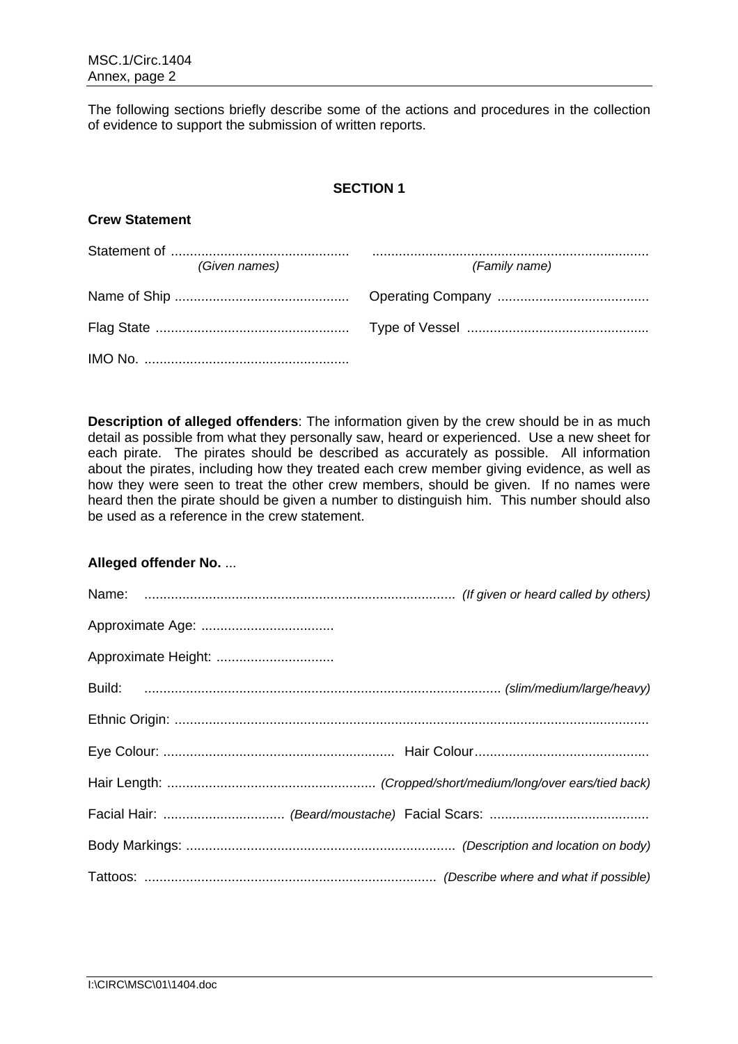The following sections briefly describe some of the actions and procedures in the collection of evidence to support the submission of written reports.

# **SECTION 1**

## **Crew Statement**

| (Given names) | (Family name) |
|---------------|---------------|
|               |               |
|               |               |
|               |               |

**Description of alleged offenders**: The information given by the crew should be in as much detail as possible from what they personally saw, heard or experienced. Use a new sheet for each pirate. The pirates should be described as accurately as possible. All information about the pirates, including how they treated each crew member giving evidence, as well as how they were seen to treat the other crew members, should be given. If no names were heard then the pirate should be given a number to distinguish him. This number should also be used as a reference in the crew statement.

## **Alleged offender No.** ...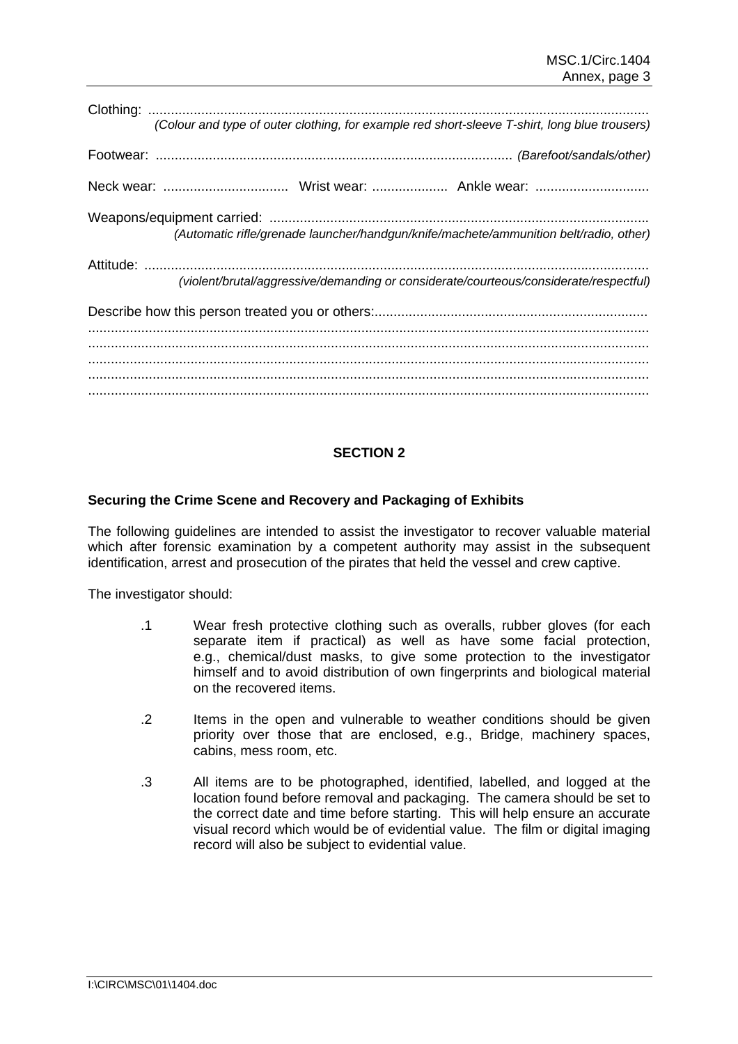|  | (Colour and type of outer clothing, for example red short-sleeve T-shirt, long blue trousers) |
|--|-----------------------------------------------------------------------------------------------|
|  |                                                                                               |
|  |                                                                                               |
|  | (Automatic rifle/grenade launcher/handgun/knife/machete/ammunition belt/radio, other)         |
|  |                                                                                               |
|  | (violent/brutal/aggressive/demanding or considerate/courteous/considerate/respectful)         |
|  |                                                                                               |
|  |                                                                                               |
|  |                                                                                               |
|  |                                                                                               |
|  |                                                                                               |

## **SECTION 2**

#### **Securing the Crime Scene and Recovery and Packaging of Exhibits**

The following guidelines are intended to assist the investigator to recover valuable material which after forensic examination by a competent authority may assist in the subsequent identification, arrest and prosecution of the pirates that held the vessel and crew captive.

The investigator should:

- .1 Wear fresh protective clothing such as overalls, rubber gloves (for each separate item if practical) as well as have some facial protection, e.g., chemical/dust masks, to give some protection to the investigator himself and to avoid distribution of own fingerprints and biological material on the recovered items.
- .2 Items in the open and vulnerable to weather conditions should be given priority over those that are enclosed, e.g., Bridge, machinery spaces, cabins, mess room, etc.
- .3 All items are to be photographed, identified, labelled, and logged at the location found before removal and packaging. The camera should be set to the correct date and time before starting. This will help ensure an accurate visual record which would be of evidential value. The film or digital imaging record will also be subject to evidential value.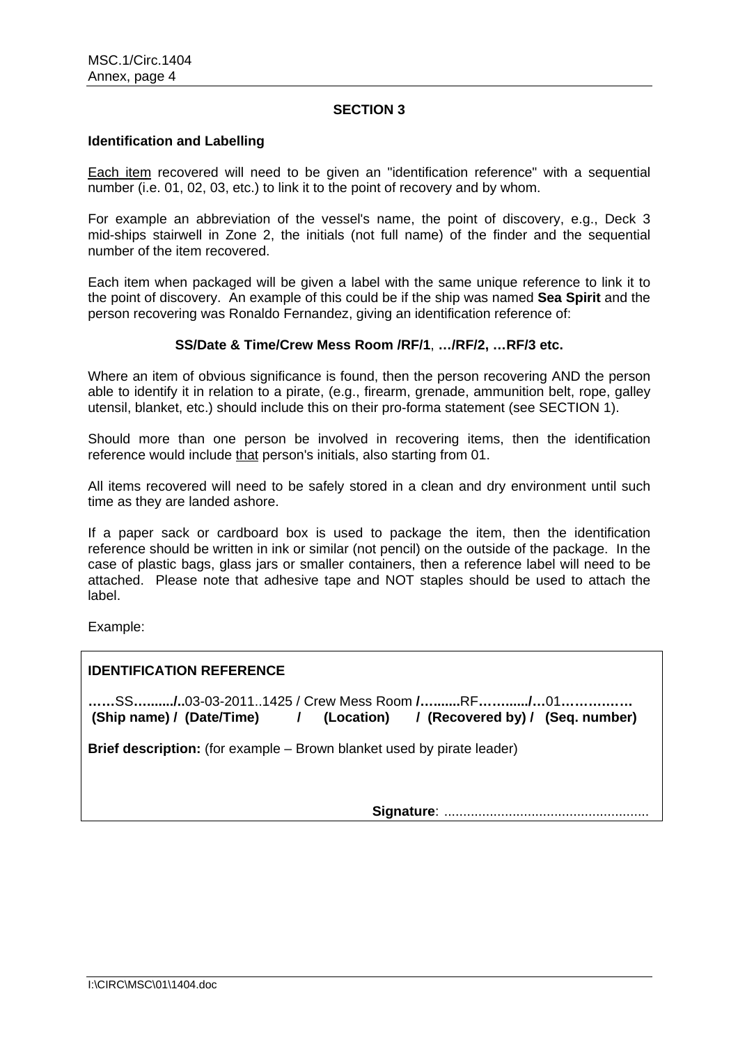#### **SECTION 3**

#### **Identification and Labelling**

Each item recovered will need to be given an "identification reference" with a sequential number (i.e. 01, 02, 03, etc.) to link it to the point of recovery and by whom.

For example an abbreviation of the vessel's name, the point of discovery, e.g., Deck 3 mid-ships stairwell in Zone 2, the initials (not full name) of the finder and the sequential number of the item recovered.

Each item when packaged will be given a label with the same unique reference to link it to the point of discovery. An example of this could be if the ship was named **Sea Spirit** and the person recovering was Ronaldo Fernandez, giving an identification reference of:

#### **SS/Date & Time/Crew Mess Room /RF/1**, **…/RF/2, …RF/3 etc.**

Where an item of obvious significance is found, then the person recovering AND the person able to identify it in relation to a pirate, (e.g., firearm, grenade, ammunition belt, rope, galley utensil, blanket, etc.) should include this on their pro-forma statement (see SECTION 1).

Should more than one person be involved in recovering items, then the identification reference would include that person's initials, also starting from 01.

All items recovered will need to be safely stored in a clean and dry environment until such time as they are landed ashore.

If a paper sack or cardboard box is used to package the item, then the identification reference should be written in ink or similar (not pencil) on the outside of the package. In the case of plastic bags, glass jars or smaller containers, then a reference label will need to be attached. Please note that adhesive tape and NOT staples should be used to attach the label.

Example:

# **IDENTIFICATION REFERENCE**

**……**SS**…......./..**03-03-2011..1425 / Crew Mess Room **/….......**RF**……....../…**01**……….…… (Ship name) / (Date/Time) / (Location) / (Recovered by) / (Seq. number)** 

**Brief description:** (for example – Brown blanket used by pirate leader)

**Signature**: ......................................................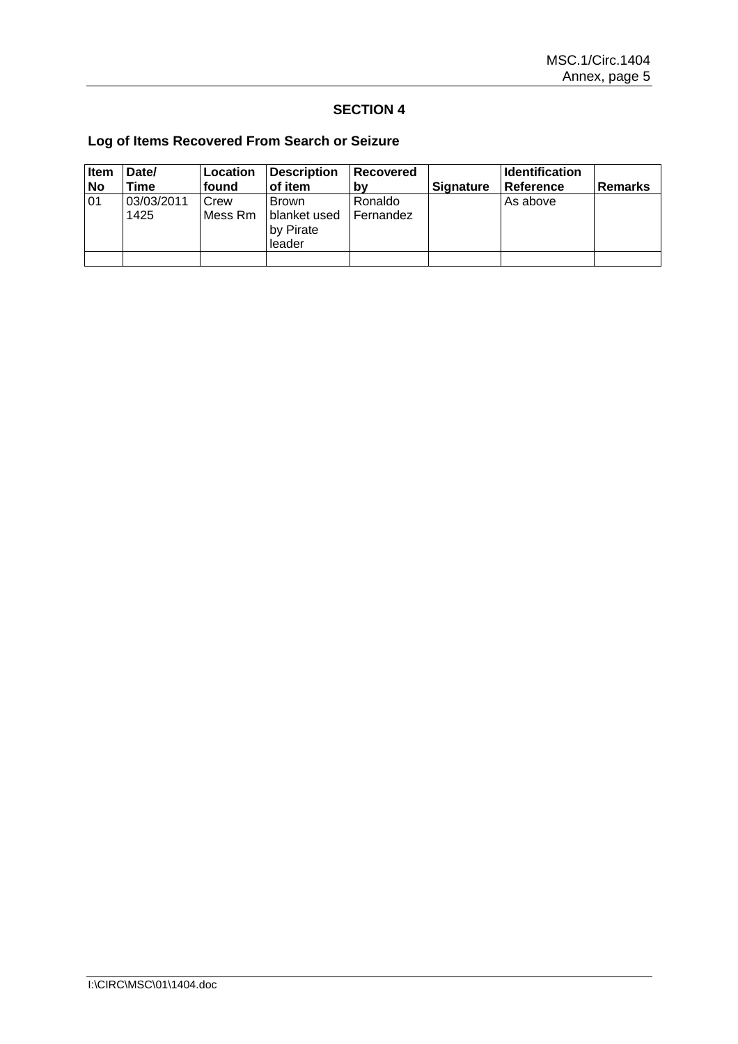## **SECTION 4**

# **Log of Items Recovered From Search or Seizure**

| Item      | Date/              | Location        | <b>Description</b>                                  | Recovered            |                  | <b>Identification</b> |                |
|-----------|--------------------|-----------------|-----------------------------------------------------|----------------------|------------------|-----------------------|----------------|
| <b>No</b> | Time               | found           | of item                                             | b٧                   | <b>Signature</b> | <b>Reference</b>      | <b>Remarks</b> |
| 01        | 03/03/2011<br>1425 | Crew<br>Mess Rm | <b>Brown</b><br>blanket used<br>by Pirate<br>leader | Ronaldo<br>Fernandez |                  | As above              |                |
|           |                    |                 |                                                     |                      |                  |                       |                |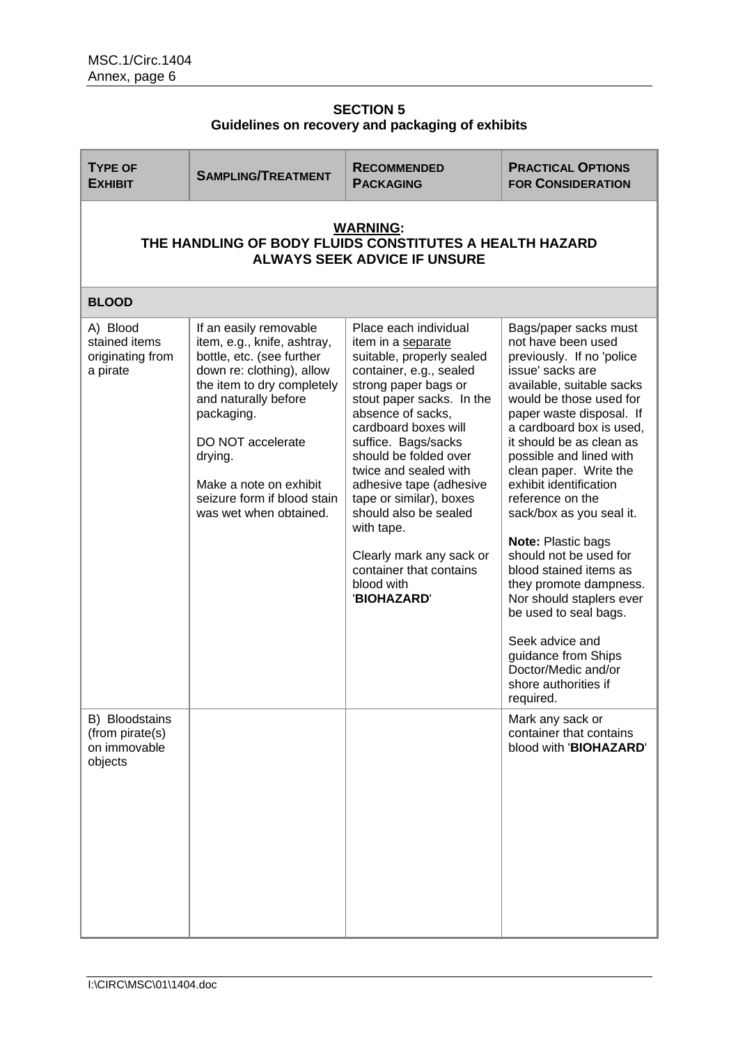# **SECTION 5 Guidelines on recovery and packaging of exhibits**

| <b>TYPE OF</b><br><b>EXHIBIT</b>                                                                                  | <b>SAMPLING/TREATMENT</b>                                                                                                                                                                                                                                                                              | <b>RECOMMENDED</b><br><b>PACKAGING</b>                                                                                                                                                                                                                                                                                                                                                                                                                          | <b>PRACTICAL OPTIONS</b><br><b>FOR CONSIDERATION</b>                                                                                                                                                                                                                                                                                                                                                                                                                                                                                                                                                                                   |  |  |
|-------------------------------------------------------------------------------------------------------------------|--------------------------------------------------------------------------------------------------------------------------------------------------------------------------------------------------------------------------------------------------------------------------------------------------------|-----------------------------------------------------------------------------------------------------------------------------------------------------------------------------------------------------------------------------------------------------------------------------------------------------------------------------------------------------------------------------------------------------------------------------------------------------------------|----------------------------------------------------------------------------------------------------------------------------------------------------------------------------------------------------------------------------------------------------------------------------------------------------------------------------------------------------------------------------------------------------------------------------------------------------------------------------------------------------------------------------------------------------------------------------------------------------------------------------------------|--|--|
| <b>WARNING:</b><br>THE HANDLING OF BODY FLUIDS CONSTITUTES A HEALTH HAZARD<br><b>ALWAYS SEEK ADVICE IF UNSURE</b> |                                                                                                                                                                                                                                                                                                        |                                                                                                                                                                                                                                                                                                                                                                                                                                                                 |                                                                                                                                                                                                                                                                                                                                                                                                                                                                                                                                                                                                                                        |  |  |
| <b>BLOOD</b>                                                                                                      |                                                                                                                                                                                                                                                                                                        |                                                                                                                                                                                                                                                                                                                                                                                                                                                                 |                                                                                                                                                                                                                                                                                                                                                                                                                                                                                                                                                                                                                                        |  |  |
| A) Blood<br>stained items<br>originating from<br>a pirate                                                         | If an easily removable<br>item, e.g., knife, ashtray,<br>bottle, etc. (see further<br>down re: clothing), allow<br>the item to dry completely<br>and naturally before<br>packaging.<br>DO NOT accelerate<br>drying.<br>Make a note on exhibit<br>seizure form if blood stain<br>was wet when obtained. | Place each individual<br>item in a separate<br>suitable, properly sealed<br>container, e.g., sealed<br>strong paper bags or<br>stout paper sacks. In the<br>absence of sacks,<br>cardboard boxes will<br>suffice. Bags/sacks<br>should be folded over<br>twice and sealed with<br>adhesive tape (adhesive<br>tape or similar), boxes<br>should also be sealed<br>with tape.<br>Clearly mark any sack or<br>container that contains<br>blood with<br>'BIOHAZARD' | Bags/paper sacks must<br>not have been used<br>previously. If no 'police<br>issue' sacks are<br>available, suitable sacks<br>would be those used for<br>paper waste disposal. If<br>a cardboard box is used,<br>it should be as clean as<br>possible and lined with<br>clean paper. Write the<br>exhibit identification<br>reference on the<br>sack/box as you seal it.<br>Note: Plastic bags<br>should not be used for<br>blood stained items as<br>they promote dampness.<br>Nor should staplers ever<br>be used to seal bags.<br>Seek advice and<br>guidance from Ships<br>Doctor/Medic and/or<br>shore authorities if<br>required. |  |  |
| B) Bloodstains<br>(from pirate(s)<br>on immovable<br>objects                                                      |                                                                                                                                                                                                                                                                                                        |                                                                                                                                                                                                                                                                                                                                                                                                                                                                 | Mark any sack or<br>container that contains<br>blood with 'BIOHAZARD'                                                                                                                                                                                                                                                                                                                                                                                                                                                                                                                                                                  |  |  |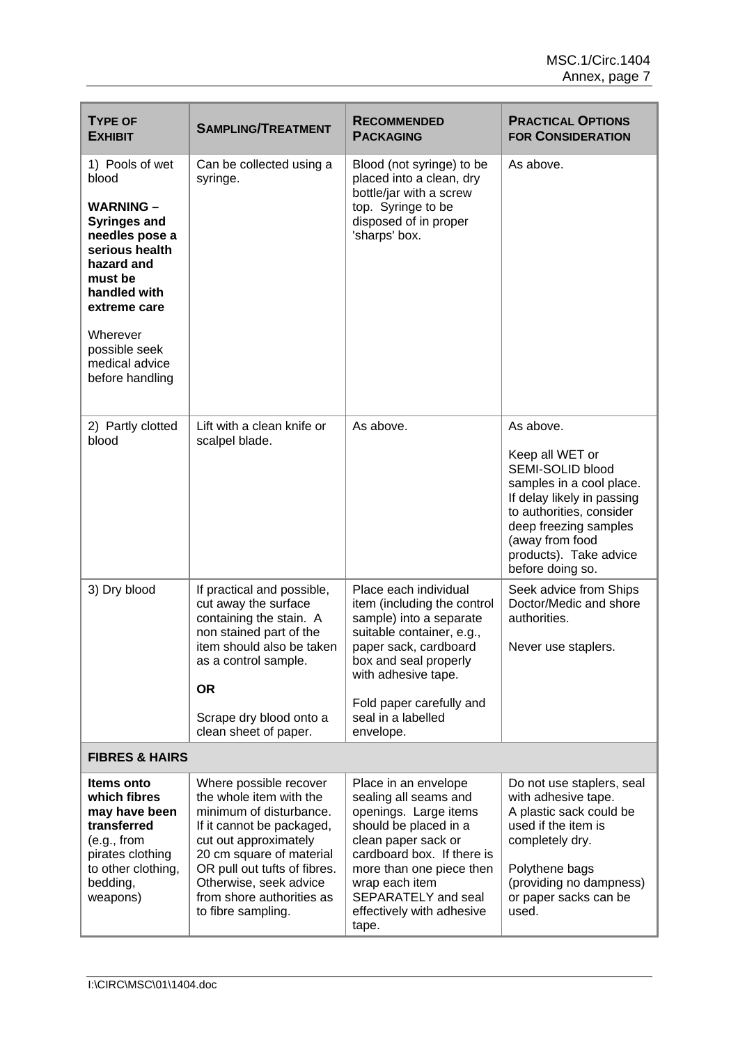| <b>TYPE OF</b><br><b>EXHIBIT</b>                                                                                                                                                                                                   | <b>SAMPLING/TREATMENT</b>                                                                                                                                                                                                                                                   | <b>RECOMMENDED</b><br><b>PACKAGING</b>                                                                                                                                                                                                                          | <b>PRACTICAL OPTIONS</b><br><b>FOR CONSIDERATION</b>                                                                                                                                                                             |
|------------------------------------------------------------------------------------------------------------------------------------------------------------------------------------------------------------------------------------|-----------------------------------------------------------------------------------------------------------------------------------------------------------------------------------------------------------------------------------------------------------------------------|-----------------------------------------------------------------------------------------------------------------------------------------------------------------------------------------------------------------------------------------------------------------|----------------------------------------------------------------------------------------------------------------------------------------------------------------------------------------------------------------------------------|
| 1) Pools of wet<br>blood<br><b>WARNING -</b><br><b>Syringes and</b><br>needles pose a<br>serious health<br>hazard and<br>must be<br>handled with<br>extreme care<br>Wherever<br>possible seek<br>medical advice<br>before handling | Can be collected using a<br>syringe.                                                                                                                                                                                                                                        | Blood (not syringe) to be<br>placed into a clean, dry<br>bottle/jar with a screw<br>top. Syringe to be<br>disposed of in proper<br>'sharps' box.                                                                                                                | As above.                                                                                                                                                                                                                        |
| 2) Partly clotted<br>blood                                                                                                                                                                                                         | Lift with a clean knife or<br>scalpel blade.                                                                                                                                                                                                                                | As above.                                                                                                                                                                                                                                                       | As above.<br>Keep all WET or<br>SEMI-SOLID blood<br>samples in a cool place.<br>If delay likely in passing<br>to authorities, consider<br>deep freezing samples<br>(away from food<br>products). Take advice<br>before doing so. |
| 3) Dry blood                                                                                                                                                                                                                       | If practical and possible,<br>cut away the surface<br>containing the stain. A<br>non stained part of the<br>item should also be taken<br>as a control sample.<br><b>OR</b><br>Scrape dry blood onto a<br>clean sheet of paper.                                              | Place each individual<br>item (including the control<br>sample) into a separate<br>suitable container, e.g.,<br>paper sack, cardboard<br>box and seal properly<br>with adhesive tape.<br>Fold paper carefully and<br>seal in a labelled<br>envelope.            | Seek advice from Ships<br>Doctor/Medic and shore<br>authorities.<br>Never use staplers.                                                                                                                                          |
| <b>FIBRES &amp; HAIRS</b>                                                                                                                                                                                                          |                                                                                                                                                                                                                                                                             |                                                                                                                                                                                                                                                                 |                                                                                                                                                                                                                                  |
| Items onto<br>which fibres<br>may have been<br>transferred<br>(e.g., from<br>pirates clothing<br>to other clothing,<br>bedding,<br>weapons)                                                                                        | Where possible recover<br>the whole item with the<br>minimum of disturbance.<br>If it cannot be packaged,<br>cut out approximately<br>20 cm square of material<br>OR pull out tufts of fibres.<br>Otherwise, seek advice<br>from shore authorities as<br>to fibre sampling. | Place in an envelope<br>sealing all seams and<br>openings. Large items<br>should be placed in a<br>clean paper sack or<br>cardboard box. If there is<br>more than one piece then<br>wrap each item<br>SEPARATELY and seal<br>effectively with adhesive<br>tape. | Do not use staplers, seal<br>with adhesive tape.<br>A plastic sack could be<br>used if the item is<br>completely dry.<br>Polythene bags<br>(providing no dampness)<br>or paper sacks can be<br>used.                             |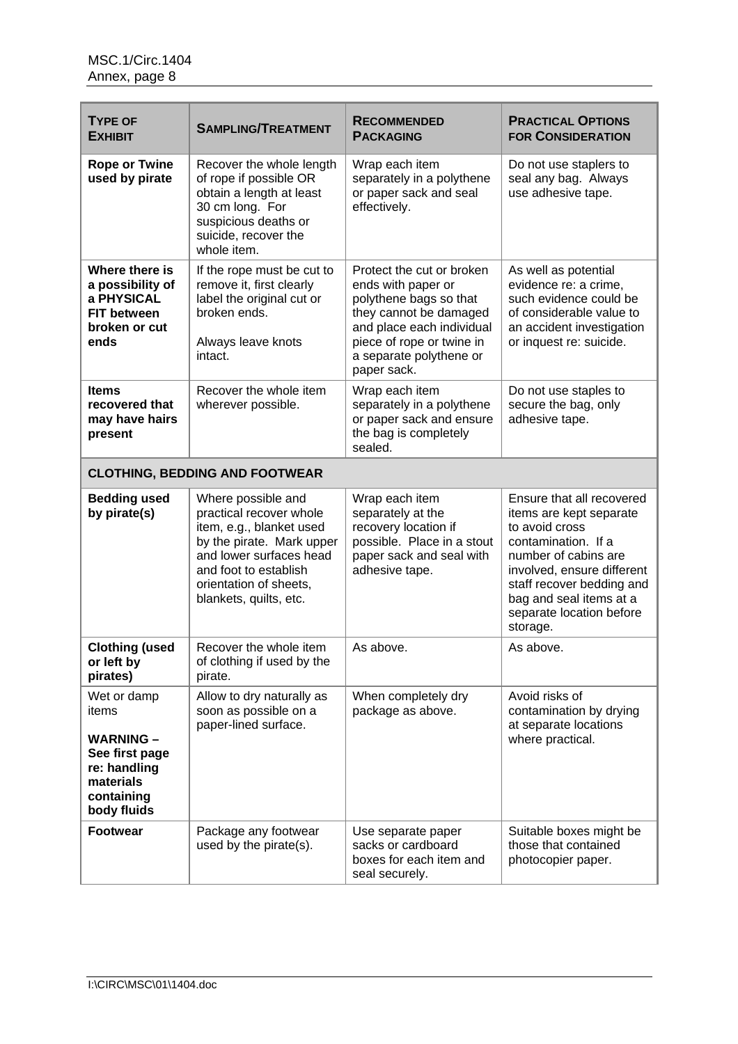| <b>TYPE OF</b><br><b>EXHIBIT</b>                                                                                     | <b>SAMPLING/TREATMENT</b>                                                                                                                                                                                      | <b>RECOMMENDED</b><br><b>PACKAGING</b>                                                                                                                                                                  | <b>PRACTICAL OPTIONS</b><br><b>FOR CONSIDERATION</b>                                                                                                                                                                                                |
|----------------------------------------------------------------------------------------------------------------------|----------------------------------------------------------------------------------------------------------------------------------------------------------------------------------------------------------------|---------------------------------------------------------------------------------------------------------------------------------------------------------------------------------------------------------|-----------------------------------------------------------------------------------------------------------------------------------------------------------------------------------------------------------------------------------------------------|
| <b>Rope or Twine</b><br>used by pirate                                                                               | Recover the whole length<br>of rope if possible OR<br>obtain a length at least<br>30 cm long. For<br>suspicious deaths or<br>suicide, recover the<br>whole item.                                               | Wrap each item<br>separately in a polythene<br>or paper sack and seal<br>effectively.                                                                                                                   | Do not use staplers to<br>seal any bag. Always<br>use adhesive tape.                                                                                                                                                                                |
| Where there is<br>a possibility of<br>a PHYSICAL<br><b>FIT between</b><br>broken or cut<br>ends                      | If the rope must be cut to<br>remove it, first clearly<br>label the original cut or<br>broken ends.<br>Always leave knots<br>intact.                                                                           | Protect the cut or broken<br>ends with paper or<br>polythene bags so that<br>they cannot be damaged<br>and place each individual<br>piece of rope or twine in<br>a separate polythene or<br>paper sack. | As well as potential<br>evidence re: a crime,<br>such evidence could be<br>of considerable value to<br>an accident investigation<br>or inquest re: suicide.                                                                                         |
| <b>Items</b><br>recovered that<br>may have hairs<br>present                                                          | Recover the whole item<br>wherever possible.                                                                                                                                                                   | Wrap each item<br>separately in a polythene<br>or paper sack and ensure<br>the bag is completely<br>sealed.                                                                                             | Do not use staples to<br>secure the bag, only<br>adhesive tape.                                                                                                                                                                                     |
|                                                                                                                      | <b>CLOTHING, BEDDING AND FOOTWEAR</b>                                                                                                                                                                          |                                                                                                                                                                                                         |                                                                                                                                                                                                                                                     |
| <b>Bedding used</b><br>by pirate(s)                                                                                  | Where possible and<br>practical recover whole<br>item, e.g., blanket used<br>by the pirate. Mark upper<br>and lower surfaces head<br>and foot to establish<br>orientation of sheets,<br>blankets, quilts, etc. | Wrap each item<br>separately at the<br>recovery location if<br>possible. Place in a stout<br>paper sack and seal with<br>adhesive tape.                                                                 | Ensure that all recovered<br>items are kept separate<br>to avoid cross<br>contamination. If a<br>number of cabins are<br>involved, ensure different<br>staff recover bedding and<br>bag and seal items at a<br>separate location before<br>storage. |
| <b>Clothing (used</b><br>or left by<br>pirates)                                                                      | Recover the whole item<br>of clothing if used by the<br>pirate.                                                                                                                                                | As above.                                                                                                                                                                                               | As above.                                                                                                                                                                                                                                           |
| Wet or damp<br>items<br><b>WARNING -</b><br>See first page<br>re: handling<br>materials<br>containing<br>body fluids | Allow to dry naturally as<br>soon as possible on a<br>paper-lined surface.                                                                                                                                     | When completely dry<br>package as above.                                                                                                                                                                | Avoid risks of<br>contamination by drying<br>at separate locations<br>where practical.                                                                                                                                                              |
| <b>Footwear</b>                                                                                                      | Package any footwear<br>used by the pirate(s).                                                                                                                                                                 | Use separate paper<br>sacks or cardboard<br>boxes for each item and<br>seal securely.                                                                                                                   | Suitable boxes might be<br>those that contained<br>photocopier paper.                                                                                                                                                                               |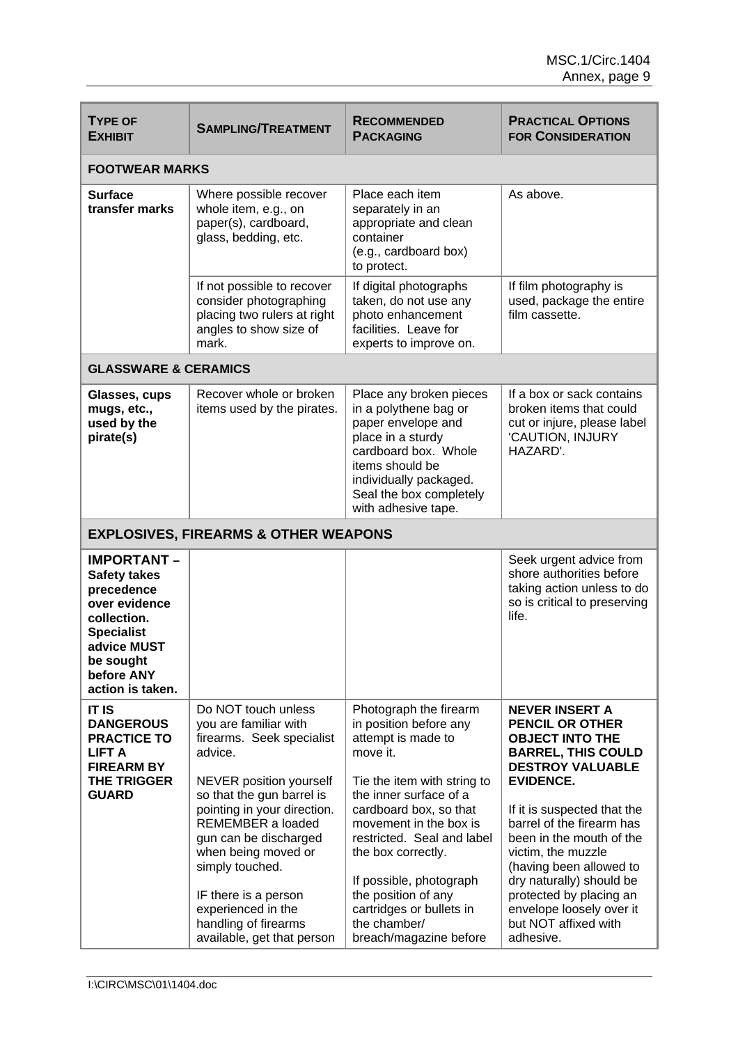| <b>TYPE OF</b><br><b>EXHIBIT</b>                                                                                                                                           | <b>SAMPLING/TREATMENT</b>                                                                                                                                                                                                                                                                                                                                               | <b>RECOMMENDED</b><br><b>PACKAGING</b>                                                                                                                                                                                                                                                                                                                                      | <b>PRACTICAL OPTIONS</b><br><b>FOR CONSIDERATION</b>                                                                                                                                                                                                                                                                                                                                                                   |
|----------------------------------------------------------------------------------------------------------------------------------------------------------------------------|-------------------------------------------------------------------------------------------------------------------------------------------------------------------------------------------------------------------------------------------------------------------------------------------------------------------------------------------------------------------------|-----------------------------------------------------------------------------------------------------------------------------------------------------------------------------------------------------------------------------------------------------------------------------------------------------------------------------------------------------------------------------|------------------------------------------------------------------------------------------------------------------------------------------------------------------------------------------------------------------------------------------------------------------------------------------------------------------------------------------------------------------------------------------------------------------------|
| <b>FOOTWEAR MARKS</b>                                                                                                                                                      |                                                                                                                                                                                                                                                                                                                                                                         |                                                                                                                                                                                                                                                                                                                                                                             |                                                                                                                                                                                                                                                                                                                                                                                                                        |
| <b>Surface</b><br>transfer marks                                                                                                                                           | Where possible recover<br>whole item, e.g., on<br>paper(s), cardboard,<br>glass, bedding, etc.                                                                                                                                                                                                                                                                          | Place each item<br>separately in an<br>appropriate and clean<br>container<br>(e.g., cardboard box)<br>to protect.                                                                                                                                                                                                                                                           | As above.                                                                                                                                                                                                                                                                                                                                                                                                              |
|                                                                                                                                                                            | If not possible to recover<br>consider photographing<br>placing two rulers at right<br>angles to show size of<br>mark.                                                                                                                                                                                                                                                  | If digital photographs<br>taken, do not use any<br>photo enhancement<br>facilities. Leave for<br>experts to improve on.                                                                                                                                                                                                                                                     | If film photography is<br>used, package the entire<br>film cassette.                                                                                                                                                                                                                                                                                                                                                   |
| <b>GLASSWARE &amp; CERAMICS</b>                                                                                                                                            |                                                                                                                                                                                                                                                                                                                                                                         |                                                                                                                                                                                                                                                                                                                                                                             |                                                                                                                                                                                                                                                                                                                                                                                                                        |
| Glasses, cups<br>mugs, etc.,<br>used by the<br>pirate(s)                                                                                                                   | Recover whole or broken<br>items used by the pirates.                                                                                                                                                                                                                                                                                                                   | Place any broken pieces<br>in a polythene bag or<br>paper envelope and<br>place in a sturdy<br>cardboard box. Whole<br>items should be<br>individually packaged.<br>Seal the box completely<br>with adhesive tape.                                                                                                                                                          | If a box or sack contains<br>broken items that could<br>cut or injure, please label<br>'CAUTION, INJURY<br>HAZARD'.                                                                                                                                                                                                                                                                                                    |
|                                                                                                                                                                            | <b>EXPLOSIVES, FIREARMS &amp; OTHER WEAPONS</b>                                                                                                                                                                                                                                                                                                                         |                                                                                                                                                                                                                                                                                                                                                                             |                                                                                                                                                                                                                                                                                                                                                                                                                        |
| <b>IMPORTANT -</b><br><b>Safety takes</b><br>precedence<br>over evidence<br>collection.<br><b>Specialist</b><br>advice MUST<br>be sought<br>before ANY<br>action is taken. |                                                                                                                                                                                                                                                                                                                                                                         |                                                                                                                                                                                                                                                                                                                                                                             | Seek urgent advice from<br>shore authorities before<br>taking action unless to do<br>so is critical to preserving<br>life.                                                                                                                                                                                                                                                                                             |
| <b>IT IS</b><br><b>DANGEROUS</b><br><b>PRACTICE TO</b><br><b>LIFT A</b><br><b>FIREARM BY</b><br><b>THE TRIGGER</b><br><b>GUARD</b>                                         | Do NOT touch unless<br>you are familiar with<br>firearms. Seek specialist<br>advice.<br>NEVER position yourself<br>so that the gun barrel is<br>pointing in your direction.<br>REMEMBER a loaded<br>gun can be discharged<br>when being moved or<br>simply touched.<br>IF there is a person<br>experienced in the<br>handling of firearms<br>available, get that person | Photograph the firearm<br>in position before any<br>attempt is made to<br>move it.<br>Tie the item with string to<br>the inner surface of a<br>cardboard box, so that<br>movement in the box is<br>restricted. Seal and label<br>the box correctly.<br>If possible, photograph<br>the position of any<br>cartridges or bullets in<br>the chamber/<br>breach/magazine before | <b>NEVER INSERT A</b><br><b>PENCIL OR OTHER</b><br><b>OBJECT INTO THE</b><br><b>BARREL, THIS COULD</b><br><b>DESTROY VALUABLE</b><br><b>EVIDENCE.</b><br>If it is suspected that the<br>barrel of the firearm has<br>been in the mouth of the<br>victim, the muzzle<br>(having been allowed to<br>dry naturally) should be<br>protected by placing an<br>envelope loosely over it<br>but NOT affixed with<br>adhesive. |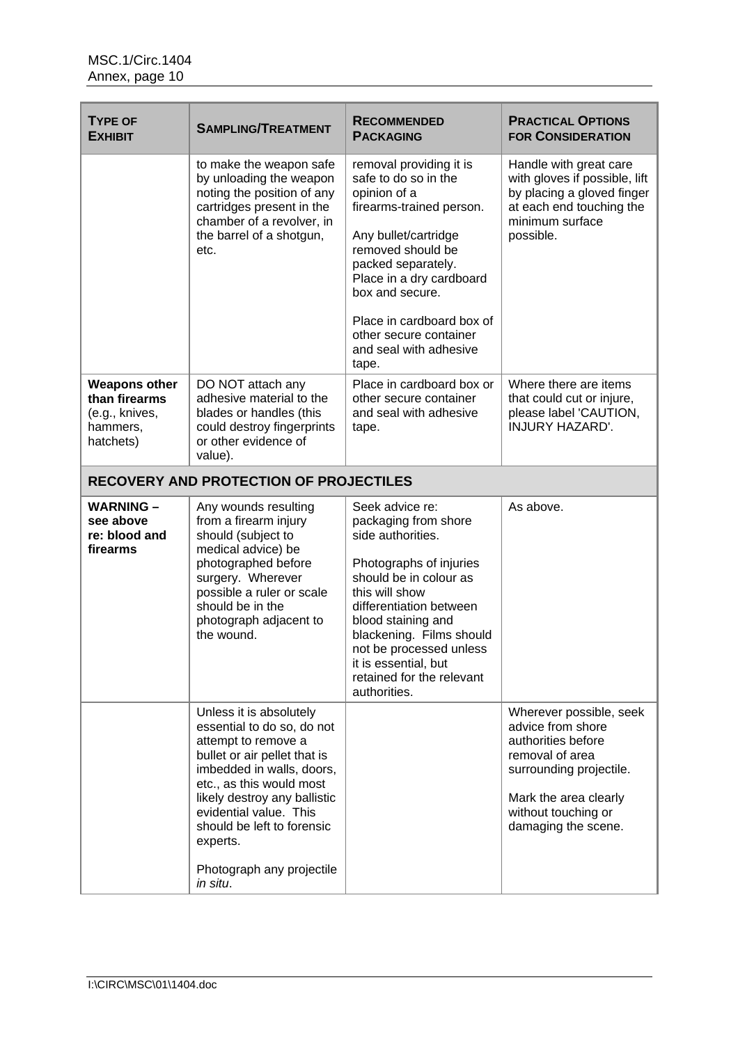| <b>TYPE OF</b><br><b>EXHIBIT</b>                                                 | <b>SAMPLING/TREATMENT</b>                                                                                                                                                                                                                                                                                          | <b>RECOMMENDED</b><br><b>PACKAGING</b>                                                                                                                                                                                                                                                                           | <b>PRACTICAL OPTIONS</b><br><b>FOR CONSIDERATION</b>                                                                                                                                    |
|----------------------------------------------------------------------------------|--------------------------------------------------------------------------------------------------------------------------------------------------------------------------------------------------------------------------------------------------------------------------------------------------------------------|------------------------------------------------------------------------------------------------------------------------------------------------------------------------------------------------------------------------------------------------------------------------------------------------------------------|-----------------------------------------------------------------------------------------------------------------------------------------------------------------------------------------|
|                                                                                  | to make the weapon safe<br>by unloading the weapon<br>noting the position of any<br>cartridges present in the<br>chamber of a revolver, in<br>the barrel of a shotgun,<br>etc.                                                                                                                                     | removal providing it is<br>safe to do so in the<br>opinion of a<br>firearms-trained person.<br>Any bullet/cartridge<br>removed should be<br>packed separately.<br>Place in a dry cardboard<br>box and secure.<br>Place in cardboard box of<br>other secure container<br>and seal with adhesive<br>tape.          | Handle with great care<br>with gloves if possible, lift<br>by placing a gloved finger<br>at each end touching the<br>minimum surface<br>possible.                                       |
| <b>Weapons other</b><br>than firearms<br>(e.g., knives,<br>hammers,<br>hatchets) | DO NOT attach any<br>adhesive material to the<br>blades or handles (this<br>could destroy fingerprints<br>or other evidence of<br>value).                                                                                                                                                                          | Place in cardboard box or<br>other secure container<br>and seal with adhesive<br>tape.                                                                                                                                                                                                                           | Where there are items<br>that could cut or injure,<br>please label 'CAUTION,<br><b>INJURY HAZARD'.</b>                                                                                  |
|                                                                                  | <b>RECOVERY AND PROTECTION OF PROJECTILES</b>                                                                                                                                                                                                                                                                      |                                                                                                                                                                                                                                                                                                                  |                                                                                                                                                                                         |
| <b>WARNING -</b><br>see above<br>re: blood and<br>firearms                       | Any wounds resulting<br>from a firearm injury<br>should (subject to<br>medical advice) be<br>photographed before<br>surgery. Wherever<br>possible a ruler or scale<br>should be in the<br>photograph adjacent to<br>the wound.                                                                                     | Seek advice re:<br>packaging from shore<br>side authorities.<br>Photographs of injuries<br>should be in colour as<br>this will show<br>differentiation between<br>blood staining and<br>blackening. Films should<br>not be processed unless<br>it is essential, but<br>retained for the relevant<br>authorities. | As above.                                                                                                                                                                               |
|                                                                                  | Unless it is absolutely<br>essential to do so, do not<br>attempt to remove a<br>bullet or air pellet that is<br>imbedded in walls, doors,<br>etc., as this would most<br>likely destroy any ballistic<br>evidential value. This<br>should be left to forensic<br>experts.<br>Photograph any projectile<br>in situ. |                                                                                                                                                                                                                                                                                                                  | Wherever possible, seek<br>advice from shore<br>authorities before<br>removal of area<br>surrounding projectile.<br>Mark the area clearly<br>without touching or<br>damaging the scene. |